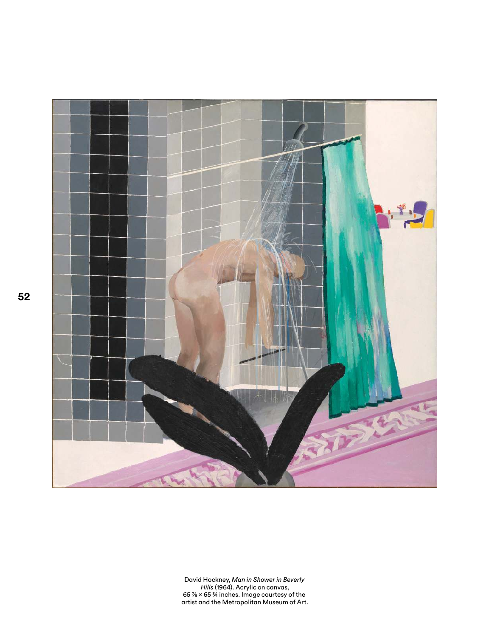

David Hockney, *Man in Shower in Beverly<br>Hills* (1964). Acrylic on canvas,<br>65 % × 65 % inches. Image courtesy of the<br>artist and the Metropolitan Museum of Art.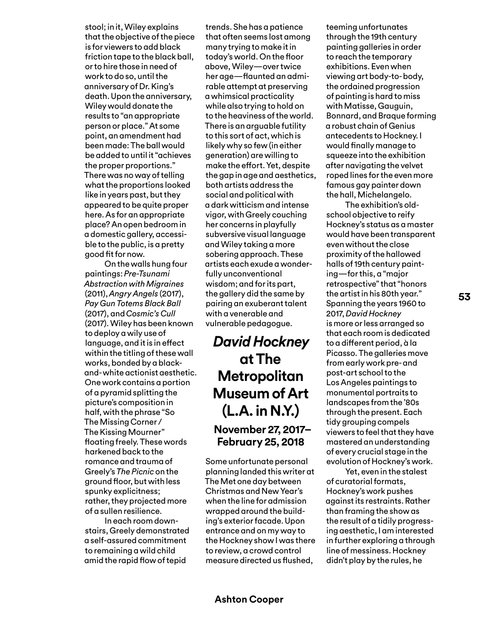stool; in it, Wiley explains that the objective of the piece is for viewers to add black friction tape to the black ball, or to hire those in need of work to do so, until the anniversary of Dr. King's death. Upon the anniversary, Wiley would donate the results to "an appropriate person or place." At some point, an amendment had been made: The ball would be added to until it "achieves the proper proportions." There was no way of telling what the proportions looked like in years past, but they appeared to be quite proper here. As for an appropriate place? An open bedroom in a domestic gallery, accessible to the public, is a pretty good fit for now.

On the walls hung four paintings: *Pre-Tsunami Abstraction with Migraines* (2011), *Angry Angels* (2017), *Pay Gun Totems Black Ball*  (2017), and *Cosmic's Cull* (2017). Wiley has been known to deploy a wily use of language, and it is in efect within the titling of these wall works, bonded by a blackand- white actionist aesthetic. One work contains a portion of a pyramid splitting the picture's composition in half, with the phrase "So The Missing Corner / The Kissing Mourner" foating freely. These words harkened back to the romance and trauma of Greely's *The Picnic* on the ground foor, but with less spunky explicitness; rather, they projected more of a sullen resilience.

In each room downstairs, Greely demonstrated a self-assured commitment to remaining a wild child amid the rapid fow of tepid

trends. She has a patience that often seems lost among many trying to make it in today's world. On the foor above, Wiley—over twice her age—faunted an admirable attempt at preserving a whimsical practicality while also trying to hold on to the heaviness of the world. There is an arguable futility to this sort of act, which is likely why so few (in either generation) are willing to make the efort. Yet, despite the gap in age and aesthetics, both artists address the social and political with a dark witticism and intense vigor, with Greely couching her concerns in playfully subversive visual language and Wiley taking a more sobering approach. These artists each exude a wonderfully unconventional wisdom; and for its part, the gallery did the same by pairing an exuberant talent with a venerable and vulnerable pedagogue.

## *David Hockney* **at The Metropolitan Museum of Art (L.A. in N.Y.) November 27, 2017– February 25, 2018**

Some unfortunate personal planning landed this writer at The Met one day between Christmas and New Year's when the line for admission wrapped around the building's exterior facade. Upon entrance and on my way to the Hockney show I was there to review, a crowd control measure directed us fushed,

teeming unfortunates through the 19th century painting galleries in order to reach the temporary exhibitions. Even when viewing art body-to- body, the ordained progression of painting is hard to miss with Matisse, Gauguin, Bonnard, and Braque forming a robust chain of Genius antecedents to Hockney. I would finally manage to squeeze into the exhibition after navigating the velvet roped lines for the even more famous gay painter down the hall, Michelangelo.

The exhibition's oldschool objective to reify Hockney's status as a master would have been transparent even without the close proximity of the hallowed halls of 19th century painting—for this, a "major retrospective" that "honors the artist in his 80th year." Spanning the years 1960 to 2017, *David Hockney* is more or less arranged so that each room is dedicated to a diferent period, à la Picasso. The galleries move from early work pre- and post-art school to the Los Angeles paintings to monumental portraits to landscapes from the '80s through the present. Each tidy grouping compels viewers to feel that they have mastered an understanding of every crucial stage in the evolution of Hockney's work.

Yet, even in the stalest of curatorial formats, Hockney's work pushes against its restraints. Rather than framing the show as the result of a tidily progressing aesthetic, I am interested in further exploring a through line of messiness. Hockney didn't play by the rules, he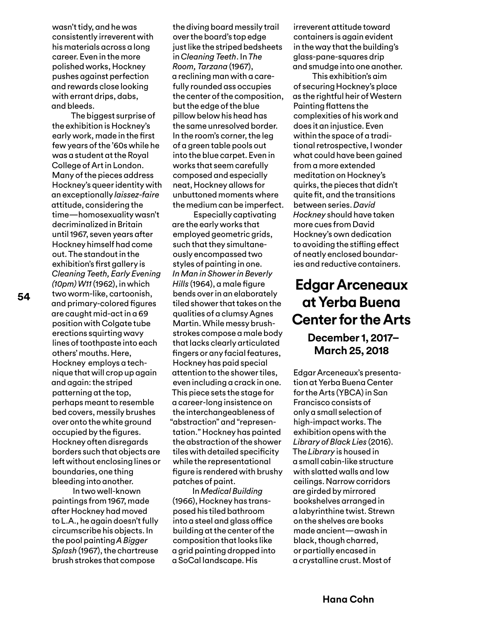wasn't tidy, and he was consistently irreverent with his materials across a long career. Even in the more polished works, Hockney pushes against perfection and rewards close looking with errant drips, dabs, and bleeds.

The biggest surprise of the exhibition is Hockney's early work, made in the frst few years of the '60s while he was a student at the Royal College of Art in London. Many of the pieces address Hockney's queer identity with an exceptionally *laissez-faire* attitude, considering the time—homosexuality wasn't decriminalized in Britain until 1967, seven years after Hockney himself had come out. The standout in the exhibition's frst gallery is *Cleaning Teeth, Early Evening (10pm) W11* (1962), in which two worm-like, cartoonish, and primary-colored fgures are caught mid-act in a 69 position with Colgate tube erections squirting wavy lines of toothpaste into each others' mouths. Here, Hockney employs a technique that will crop up again and again: the striped patterning at the top, perhaps meant to resemble bed covers, messily brushes over onto the white ground occupied by the fgures. Hockney often disregards borders such that objects are left without enclosing lines or boundaries, one thing bleeding into another.

 In two well-known paintings from 1967, made after Hockney had moved to L.A., he again doesn't fully circumscribe his objects. In the pool painting *A Bigger Splash* (1967), the chartreuse brush strokes that compose

the diving board messily trail over the board's top edge just like the striped bedsheets in *Cleaning Teeth*. In *The Room, Tarzana* (1967), a reclining man with a carefully rounded ass occupies the center of the composition, but the edge of the blue pillow below his head has the same unresolved border. In the room's corner, the leg of a green table pools out into the blue carpet. Even in works that seem carefully composed and especially neat, Hockney allows for unbuttoned moments where the medium can be imperfect.

 Especially captivating are the early works that employed geometric grids, such that they simultaneously encompassed two styles of painting in one. *In Man in Shower in Beverly Hills* (1964), a male figure bends over in an elaborately tiled shower that takes on the qualities of a clumsy Agnes Martin. While messy brushstrokes compose a male body that lacks clearly articulated fngers or any facial features, Hockney has paid special attention to the shower tiles, even including a crack in one. This piece sets the stage for a career-long insistence on the interchangeableness of "abstraction" and "representation." Hockney has painted the abstraction of the shower tiles with detailed specifcity while the representational fgure is rendered with brushy patches of paint.

In *Medical Building* (1966), Hockney has transposed his tiled bathroom into a steel and glass office building at the center of the composition that looks like a grid painting dropped into a SoCal landscape. His

irreverent attitude toward containers is again evident in the way that the building's glass-pane-squares drip and smudge into one another.

This exhibition's aim of securing Hockney's place as the rightful heir of Western Painting flattens the complexities of his work and does it an injustice. Even within the space of a traditional retrospective, I wonder what could have been gained from a more extended meditation on Hockney's quirks, the pieces that didn't quite ft, and the transitions between series. *David Hockney* should have taken more cues from David Hockney's own dedication to avoiding the stifing efect of neatly enclosed boundaries and reductive containers.

# **Edgar Arceneaux at Yerba Buena Center for the Arts**

## **December 1, 2017– March 25, 2018**

Edgar Arceneaux's presentation at Yerba Buena Center for the Arts (YBCA) in San Francisco consists of only a small selection of high-impact works. The exhibition opens with the *Library of Black Lies* (2016). The *Library* is housed in a small cabin-like structure with slatted walls and low ceilings. Narrow corridors are girded by mirrored bookshelves arranged in a labyrinthine twist. Strewn on the shelves are books made ancient—awash in black, though charred, or partially encased in a crystalline crust. Most of

**54**